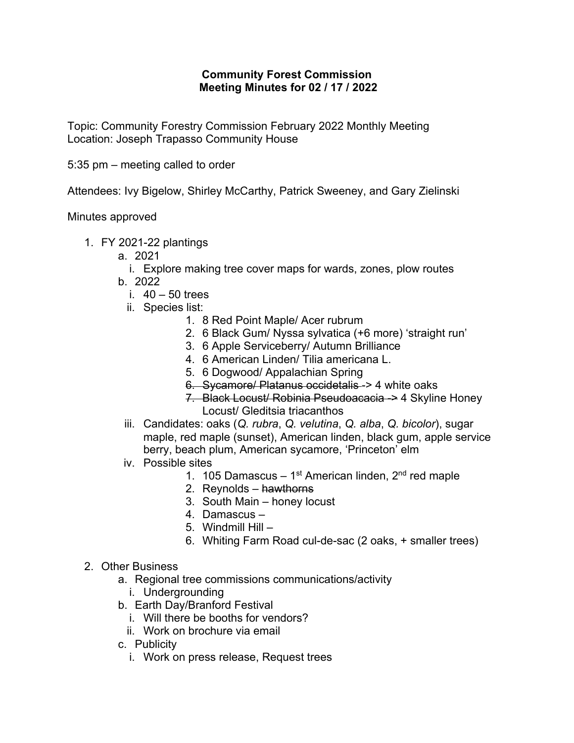## **Community Forest Commission Meeting Minutes for 02 / 17 / 2022**

Topic: Community Forestry Commission February 2022 Monthly Meeting Location: Joseph Trapasso Community House

5:35 pm – meeting called to order

Attendees: Ivy Bigelow, Shirley McCarthy, Patrick Sweeney, and Gary Zielinski

Minutes approved

- 1. FY 2021-22 plantings
	- a. 2021

i. Explore making tree cover maps for wards, zones, plow routes b. 2022

- i.  $40 50$  trees
- ii. Species list:
	- 1. 8 Red Point Maple/ Acer rubrum
	- 2. 6 Black Gum/ Nyssa sylvatica (+6 more) 'straight run'
	- 3. 6 Apple Serviceberry/ Autumn Brilliance
	- 4. 6 American Linden/ Tilia americana L.
	- 5. 6 Dogwood/ Appalachian Spring
	- 6. Sycamore/ Platanus occidetalis -> 4 white oaks
	- 7. Black Locust/ Robinia Pseudoacacia -> 4 Skyline Honey Locust/ Gleditsia triacanthos
- iii. Candidates: oaks (*Q. rubra*, *Q. velutina*, *Q. alba*, *Q. bicolor*), sugar maple, red maple (sunset), American linden, black gum, apple service berry, beach plum, American sycamore, 'Princeton' elm
- iv. Possible sites
	- 1. 105 Damascus 1<sup>st</sup> American linden,  $2<sup>nd</sup>$  red maple
	- 2. Reynolds hawthorns
	- 3. South Main honey locust
	- 4. Damascus –
	- 5. Windmill Hill –
	- 6. Whiting Farm Road cul-de-sac (2 oaks, + smaller trees)
- 2. Other Business
	- a. Regional tree commissions communications/activity
		- i. Undergrounding
	- b. Earth Day/Branford Festival
		- i. Will there be booths for vendors?
		- ii. Work on brochure via email
	- c. Publicity
		- i. Work on press release, Request trees